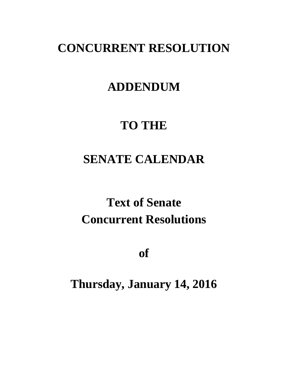## **CONCURRENT RESOLUTION**

## **ADDENDUM**

## **TO THE**

## **SENATE CALENDAR**

# **Text of Senate Concurrent Resolutions**

**of**

**Thursday, January 14, 2016**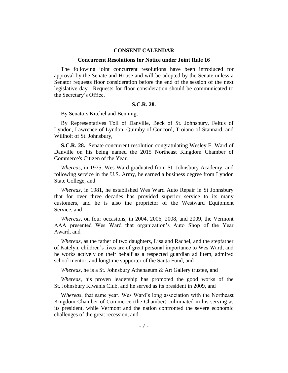### **CONSENT CALENDAR**

#### **Concurrent Resolutions for Notice under Joint Rule 16**

The following joint concurrent resolutions have been introduced for approval by the Senate and House and will be adopted by the Senate unless a Senator requests floor consideration before the end of the session of the next legislative day. Requests for floor consideration should be communicated to the Secretary's Office.

## **S.C.R. 28.**

By Senators Kitchel and Benning,

By Representatives Toll of Danville, Beck of St. Johnsbury, Feltus of Lyndon, Lawrence of Lyndon, Quimby of Concord, Troiano of Stannard, and Willhoit of St. Johnsbury,

**S.C.R. 28.** Senate concurrent resolution congratulating Wesley E. Ward of Danville on his being named the 2015 Northeast Kingdom Chamber of Commerce's Citizen of the Year.

*Whereas,* in 1975, Wes Ward graduated from St. Johnsbury Academy, and following service in the U.S. Army, he earned a business degree from Lyndon State College, and

*Whereas*, in 1981, he established Wes Ward Auto Repair in St Johnsbury that for over three decades has provided superior service to its many customers, and he is also the proprietor of the Westward Equipment Service, and

*Whereas*, on four occasions, in 2004, 2006, 2008, and 2009, the Vermont AAA presented Wes Ward that organization's Auto Shop of the Year Award, and

*Whereas*, as the father of two daughters, Lisa and Rachel, and the stepfather of Katelyn, children's lives are of great personal importance to Wes Ward, and he works actively on their behalf as a respected guardian ad litem, admired school mentor, and longtime supporter of the Santa Fund, and

*Whereas*, he is a St. Johnsbury Athenaeum & Art Gallery trustee, and

*Whereas*, his proven leadership has promoted the good works of the St. Johnsbury Kiwanis Club, and he served as its president in 2009, and

W*hereas*, that same year, Wes Ward's long association with the Northeast Kingdom Chamber of Commerce (the Chamber) culminated in his serving as its president, while Vermont and the nation confronted the severe economic challenges of the great recession, and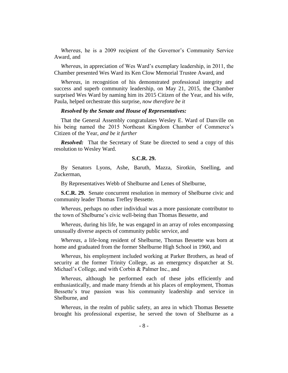*Whereas*, he is a 2009 recipient of the Governor's Community Service Award, and

*Wherea*s, in appreciation of Wes Ward's exemplary leadership, in 2011, the Chamber presented Wes Ward its Ken Clow Memorial Trustee Award, and

*Whereas*, in recognition of his demonstrated professional integrity and success and superb community leadership, on May 21, 2015, the Chamber surprised Wes Ward by naming him its 2015 Citizen of the Year, and his wife, Paula, helped orchestrate this surprise, *now therefore be it*

### *Resolved by the Senate and House of Representatives:*

That the General Assembly congratulates Wesley E. Ward of Danville on his being named the 2015 Northeast Kingdom Chamber of Commerce's Citizen of the Year, *and be it further*

*Resolved:* That the Secretary of State be directed to send a copy of this resolution to Wesley Ward.

### **S.C.R. 29.**

By Senators Lyons, Ashe, Baruth, Mazza, Sirotkin, Snelling, and Zuckerman,

By Representatives Webb of Shelburne and Lenes of Shelburne,

**S.C.R. 29.** Senate concurrent resolution in memory of Shelburne civic and community leader Thomas Trefley Bessette.

*Whereas*, perhaps no other individual was a more passionate contributor to the town of Shelburne's civic well-being than Thomas Bessette, and

*Whereas*, during his life, he was engaged in an array of roles encompassing unusually diverse aspects of community public service, and

*Whereas*, a life-long resident of Shelburne, Thomas Bessette was born at home and graduated from the former Shelburne High School in 1960, and

*Whereas*, his employment included working at Parker Brothers, as head of security at the former Trinity College, as an emergency dispatcher at St. Michael's College, and with Corbin & Palmer Inc., and

*Whereas*, although he performed each of these jobs efficiently and enthusiastically, and made many friends at his places of employment, Thomas Bessette's true passion was his community leadership and service in Shelburne, and

*Whereas*, in the realm of public safety, an area in which Thomas Bessette brought his professional expertise, he served the town of Shelburne as a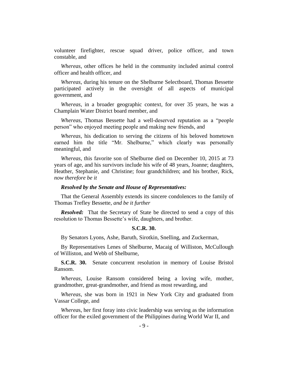volunteer firefighter, rescue squad driver, police officer, and town constable, and

*Whereas*, other offices he held in the community included animal control officer and health officer, and

*Whereas*, during his tenure on the Shelburne Selectboard, Thomas Bessette participated actively in the oversight of all aspects of municipal government, and

*Whereas*, in a broader geographic context, for over 35 years, he was a Champlain Water District board member, and

*Whereas*, Thomas Bessette had a well-deserved reputation as a "people person" who enjoyed meeting people and making new friends, and

*Whereas*, his dedication to serving the citizens of his beloved hometown earned him the title "Mr. Shelburne," which clearly was personally meaningful, and

*Whereas*, this favorite son of Shelburne died on December 10, 2015 at 73 years of age, and his survivors include his wife of 48 years, Joanne; daughters, Heather, Stephanie, and Christine; four grandchildren; and his brother, Rick, *now therefore be it* 

#### *Resolved by the Senate and House of Representatives:*

That the General Assembly extends its sincere condolences to the family of Thomas Trefley Bessette, *and be it further*

*Resolved:* That the Secretary of State be directed to send a copy of this resolution to Thomas Bessette's wife, daughters, and brother.

## **S.C.R. 30.**

By Senators Lyons, Ashe, Baruth, Sirotkin, Snelling, and Zuckerman,

By Representatives Lenes of Shelburne, Macaig of Williston, McCullough of Williston, and Webb of Shelburne,

**S.C.R. 30.** Senate concurrent resolution in memory of Louise Bristol Ransom.

*Whereas*, Louise Ransom considered being a loving wife, mother, grandmother, great-grandmother, and friend as most rewarding, and

*Whereas*, she was born in 1921 in New York City and graduated from Vassar College, and

*Wherea*s, her first foray into civic leadership was serving as the information officer for the exiled government of the Philippines during World War II, and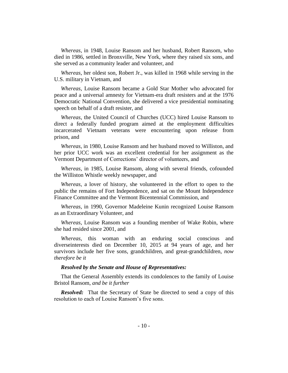*Whereas*, in 1948, Louise Ransom and her husband, Robert Ransom, who died in 1986, settled in Bronxville, New York, where they raised six sons, and she served as a community leader and volunteer, and

*Whereas*, her oldest son, Robert Jr., was killed in 1968 while serving in the U.S. military in Vietnam, and

*Whereas*, Louise Ransom became a Gold Star Mother who advocated for peace and a universal amnesty for Vietnam-era draft resisters and at the 1976 Democratic National Convention, she delivered a vice presidential nominating speech on behalf of a draft resister, and

*Whereas*, the United Council of Churches (UCC) hired Louise Ransom to direct a federally funded program aimed at the employment difficulties incarcerated Vietnam veterans were encountering upon release from prison, and

*Whereas*, in 1980, Louise Ransom and her husband moved to Williston, and her prior UCC work was an excellent credential for her assignment as the Vermont Department of Corrections' director of volunteers, and

*Whereas*, in 1985, Louise Ransom, along with several friends, cofounded the Williston Whistle weekly newspaper, and

*Whereas*, a lover of history, she volunteered in the effort to open to the public the remains of Fort Independence, and sat on the Mount Independence Finance Committee and the Vermont Bicentennial Commission, and

*Whereas*, in 1990, Governor Madeleine Kunin recognized Louise Ransom as an Extraordinary Volunteer, and

*Whereas*, Louise Ransom was a founding member of Wake Robin, where she had resided since 2001, and

*Whereas*, this woman with an enduring social conscious and diverseinterests died on December 10, 2015 at 94 years of age, and her survivors include her five sons, grandchildren, and great-grandchildren, *now therefore be it* 

#### *Resolved by the Senate and House of Representatives:*

That the General Assembly extends its condolences to the family of Louise Bristol Ransom, *and be it further* 

*Resolved:* That the Secretary of State be directed to send a copy of this resolution to each of Louise Ransom's five sons.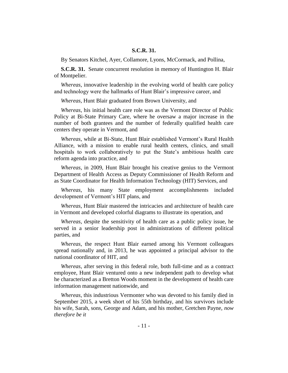## **S.C.R. 31.**

By Senators Kitchel, Ayer, Collamore, Lyons, McCormack, and Pollina,

**S.C.R. 31.** Senate concurrent resolution in memory of Huntington H. Blair of Montpelier.

*Whereas*, innovative leadership in the evolving world of health care policy and technology were the hallmarks of Hunt Blair's impressive career, and

*Whereas*, Hunt Blair graduated from Brown University, and

*Whereas*, his initial health care role was as the Vermont Director of Public Policy at Bi-State Primary Care, where he oversaw a major increase in the number of both grantees and the number of federally qualified health care centers they operate in Vermont, and

*Whereas*, while at Bi-State, Hunt Blair established Vermont's Rural Health Alliance, with a mission to enable rural health centers, clinics, and small hospitals to work collaboratively to put the State's ambitious health care reform agenda into practice, and

*Whereas*, in 2009, Hunt Blair brought his creative genius to the Vermont Department of Health Access as Deputy Commissioner of Health Reform and as State Coordinator for Health Information Technology (HIT) Services, and

*Whereas*, his many State employment accomplishments included development of Vermont's HIT plans, and

*Whereas*, Hunt Blair mastered the intricacies and architecture of health care in Vermont and developed colorful diagrams to illustrate its operation, and

*Whereas*, despite the sensitivity of health care as a public policy issue, he served in a senior leadership post in administrations of different political parties, and

*Whereas*, the respect Hunt Blair earned among his Vermont colleagues spread nationally and, in 2013, he was appointed a principal advisor to the national coordinator of HIT, and

*Whereas*, after serving in this federal role, both full-time and as a contract employee, Hunt Blair ventured onto a new independent path to develop what he characterized as a Bretton Woods moment in the development of health care information management nationwide, and

*Whereas*, this industrious Vermonter who was devoted to his family died in September 2015, a week short of his 55th birthday, and his survivors include his wife, Sarah, sons, George and Adam, and his mother, Gretchen Payne, *now therefore be it*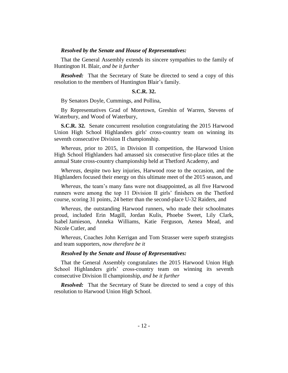## *Resolved by the Senate and House of Representatives:*

That the General Assembly extends its sincere sympathies to the family of Huntington H. Blair, *and be it further*

*Resolved:* That the Secretary of State be directed to send a copy of this resolution to the members of Huntington Blair's family.

### **S.C.R. 32.**

By Senators Doyle, Cummings, and Pollina,

By Representatives Grad of Moretown, Greshin of Warren, Stevens of Waterbury, and Wood of Waterbury,

**S.C.R. 32.** Senate concurrent resolution congratulating the 2015 Harwood Union High School Highlanders girls' cross-country team on winning its seventh consecutive Division II championship.

*Whereas*, prior to 2015, in Division II competition, the Harwood Union High School Highlanders had amassed six consecutive first-place titles at the annual State cross-country championship held at Thetford Academy, and

*Whereas*, despite two key injuries, Harwood rose to the occasion, and the Highlanders focused their energy on this ultimate meet of the 2015 season, and

*Whereas*, the team's many fans were not disappointed, as all five Harwood runners were among the top 11 Division II girls' finishers on the Thetford course, scoring 31 points, 24 better than the second-place U-32 Raiders, and

*Whereas*, the outstanding Harwood runners, who made their schoolmates proud, included Erin Magill, Jordan Kulis, Phoebe Sweet, Lily Clark, Isabel Jamieson, Anneka Williams, Katie Ferguson, Aenea Mead, and Nicole Cutler, and

*Whereas*, Coaches John Kerrigan and Tom Strasser were superb strategists and team supporters, *now therefore be it* 

### *Resolved by the Senate and House of Representatives:*

That the General Assembly congratulates the 2015 Harwood Union High School Highlanders girls' cross-country team on winning its seventh consecutive Division II championship, *and be it further*

*Resolved:* That the Secretary of State be directed to send a copy of this resolution to Harwood Union High School.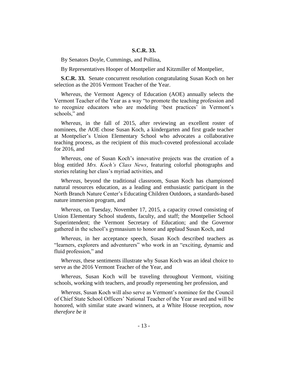## **S.C.R. 33.**

By Senators Doyle, Cummings, and Pollina,

By Representatives Hooper of Montpelier and Kitzmiller of Montpelier,

**S.C.R. 33.** Senate concurrent resolution congratulating Susan Koch on her selection as the 2016 Vermont Teacher of the Year.

*Whereas*, the Vermont Agency of Education (AOE) annually selects the Vermont Teacher of the Year as a way "to promote the teaching profession and to recognize educators who are modeling 'best practices' in Vermont's schools," and

*Whereas*, in the fall of 2015, after reviewing an excellent roster of nominees, the AOE chose Susan Koch, a kindergarten and first grade teacher at Montpelier's Union Elementary School who advocates a collaborative teaching process, as the recipient of this much-coveted professional accolade for 2016, and

*Whereas*, one of Susan Koch's innovative projects was the creation of a blog entitled *Mrs. Koch's Class News*, featuring colorful photographs and stories relating her class's myriad activities, and

*Whereas*, beyond the traditional classroom, Susan Koch has championed natural resources education, as a leading and enthusiastic participant in the North Branch Nature Center's Educating Children Outdoors, a standards-based nature immersion program, and

*Whereas*, on Tuesday, November 17, 2015, a capacity crowd consisting of Union Elementary School students, faculty, and staff; the Montpelier School Superintendent; the Vermont Secretary of Education; and the Governor gathered in the school's gymnasium to honor and applaud Susan Koch, and

*Whereas*, in her acceptance speech, Susan Koch described teachers as "learners, explorers and adventurers" who work in an "exciting, dynamic and fluid profession," and

*Whereas*, these sentiments illustrate why Susan Koch was an ideal choice to serve as the 2016 Vermont Teacher of the Year, and

*Whereas*, Susan Koch will be traveling throughout Vermont, visiting schools, working with teachers, and proudly representing her profession, and

*Whereas*, Susan Koch will also serve as Vermont's nominee for the Council of Chief State School Officers' National Teacher of the Year award and will be honored, with similar state award winners, at a White House reception, *now therefore be it*